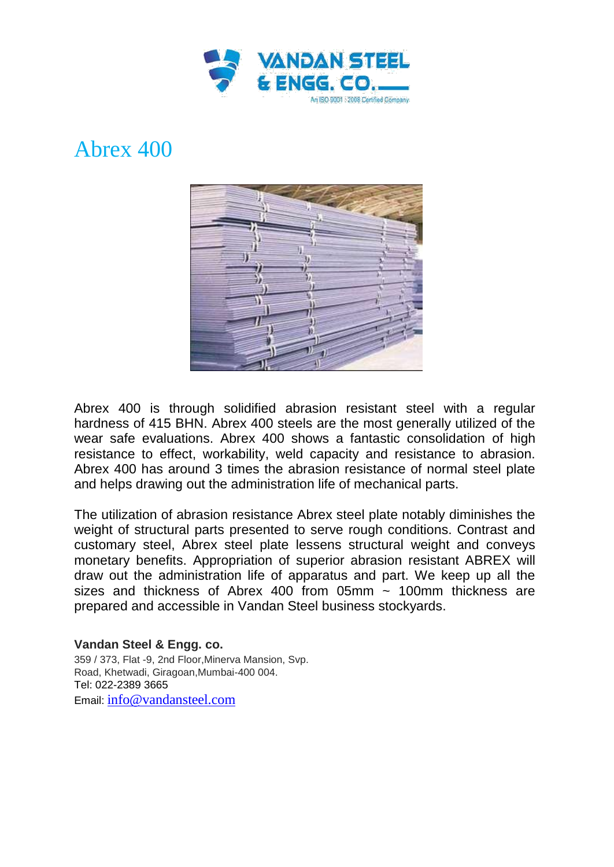

## Abrex 400



Abrex 400 is through solidified abrasion resistant steel with a regular hardness of 415 BHN. Abrex 400 steels are the most generally utilized of the wear safe evaluations. Abrex 400 shows a fantastic consolidation of high resistance to effect, workability, weld capacity and resistance to abrasion. Abrex 400 has around 3 times the abrasion resistance of normal steel plate and helps drawing out the administration life of mechanical parts.

The utilization of abrasion resistance Abrex steel plate notably diminishes the weight of structural parts presented to serve rough conditions. Contrast and customary steel, Abrex steel plate lessens structural weight and conveys monetary benefits. Appropriation of superior abrasion resistant ABREX will draw out the administration life of apparatus and part. We keep up all the sizes and thickness of Abrex 400 from 05mm  $\sim$  100mm thickness are prepared and accessible in Vandan Steel business stockyards.

**Vandan Steel & Engg. co.** 359 / 373, Flat -9, 2nd Floor,Minerva Mansion, Svp. Road, Khetwadi, Giragoan,Mumbai-400 004. Tel: 022-2389 3665 Email: info@vandansteel.com